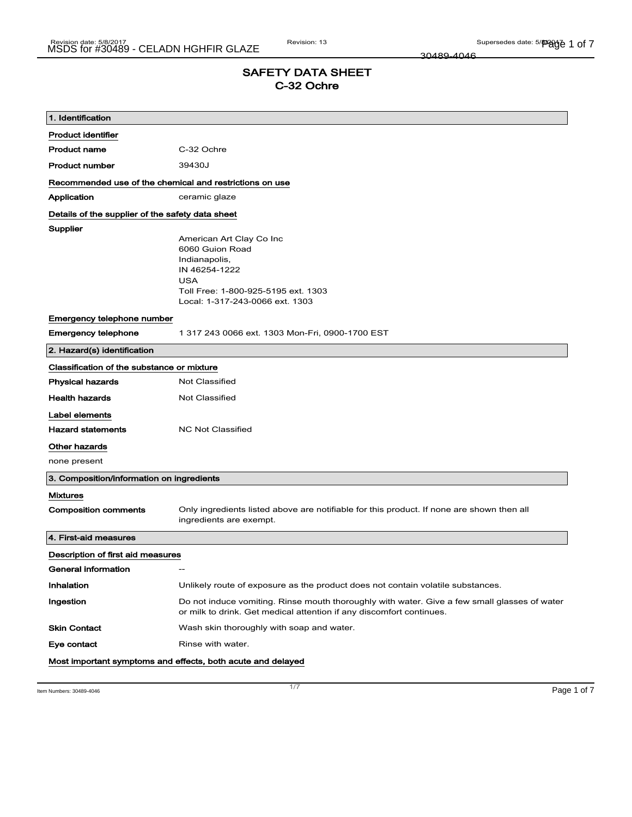30489-4046

# SAFETY DATA SHEET C-32 Ochre

| 1. Identification                                       |                                                                                                                                                                       |  |
|---------------------------------------------------------|-----------------------------------------------------------------------------------------------------------------------------------------------------------------------|--|
| <b>Product identifier</b>                               |                                                                                                                                                                       |  |
| <b>Product name</b>                                     | C-32 Ochre                                                                                                                                                            |  |
| <b>Product number</b>                                   | 39430J                                                                                                                                                                |  |
| Recommended use of the chemical and restrictions on use |                                                                                                                                                                       |  |
| Application                                             | ceramic glaze                                                                                                                                                         |  |
| Details of the supplier of the safety data sheet        |                                                                                                                                                                       |  |
| Supplier                                                | American Art Clay Co Inc<br>6060 Guion Road<br>Indianapolis,<br>IN 46254-1222<br><b>USA</b><br>Toll Free: 1-800-925-5195 ext. 1303<br>Local: 1-317-243-0066 ext. 1303 |  |
| Emergency telephone number                              |                                                                                                                                                                       |  |
| <b>Emergency telephone</b>                              | 1 317 243 0066 ext. 1303 Mon-Fri, 0900-1700 EST                                                                                                                       |  |
| 2. Hazard(s) identification                             |                                                                                                                                                                       |  |
| Classification of the substance or mixture              |                                                                                                                                                                       |  |
| <b>Physical hazards</b>                                 | <b>Not Classified</b>                                                                                                                                                 |  |
| <b>Health hazards</b>                                   | Not Classified                                                                                                                                                        |  |
| Label elements                                          |                                                                                                                                                                       |  |
| <b>Hazard statements</b>                                | <b>NC Not Classified</b>                                                                                                                                              |  |
| Other hazards                                           |                                                                                                                                                                       |  |
| none present                                            |                                                                                                                                                                       |  |
| 3. Composition/information on ingredients               |                                                                                                                                                                       |  |
| Mixtures                                                |                                                                                                                                                                       |  |
| <b>Composition comments</b>                             | Only ingredients listed above are notifiable for this product. If none are shown then all<br>ingredients are exempt.                                                  |  |
| 4. First-aid measures                                   |                                                                                                                                                                       |  |
| Description of first aid measures                       |                                                                                                                                                                       |  |
| General information                                     |                                                                                                                                                                       |  |
| Inhalation                                              | Unlikely route of exposure as the product does not contain volatile substances.                                                                                       |  |
| Ingestion                                               | Do not induce vomiting. Rinse mouth thoroughly with water. Give a few small glasses of water<br>or milk to drink. Get medical attention if any discomfort continues.  |  |
| <b>Skin Contact</b>                                     | Wash skin thoroughly with soap and water.                                                                                                                             |  |
| Eye contact                                             | Rinse with water.                                                                                                                                                     |  |
|                                                         | Most important symptoms and effects, both acute and delayed                                                                                                           |  |

Item Numbers: 30489-4046 **Page 1 of 7**  $\frac{1}{7}$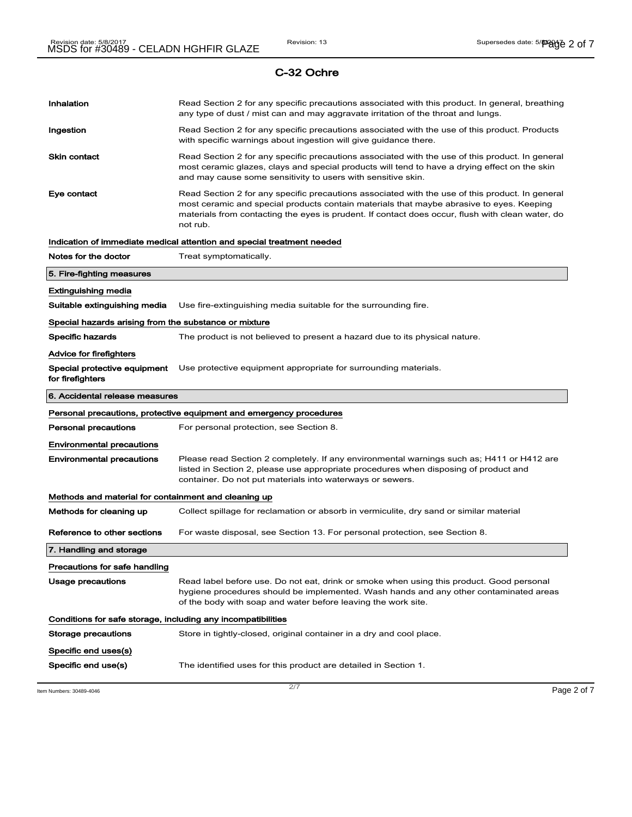| Item Numbers: 30489-4046                                                            | 2/7                                                                                                                                                                                                                                                                                             | Page 2 of 7 |
|-------------------------------------------------------------------------------------|-------------------------------------------------------------------------------------------------------------------------------------------------------------------------------------------------------------------------------------------------------------------------------------------------|-------------|
| Specific end use(s)                                                                 | The identified uses for this product are detailed in Section 1.                                                                                                                                                                                                                                 |             |
| Specific end uses(s)                                                                |                                                                                                                                                                                                                                                                                                 |             |
| Conditions for safe storage, including any incompatibilities<br>Storage precautions | Store in tightly-closed, original container in a dry and cool place.                                                                                                                                                                                                                            |             |
|                                                                                     | of the body with soap and water before leaving the work site.                                                                                                                                                                                                                                   |             |
| <b>Usage precautions</b>                                                            | Read label before use. Do not eat, drink or smoke when using this product. Good personal<br>hygiene procedures should be implemented. Wash hands and any other contaminated areas                                                                                                               |             |
| Precautions for safe handling                                                       |                                                                                                                                                                                                                                                                                                 |             |
| 7. Handling and storage                                                             |                                                                                                                                                                                                                                                                                                 |             |
| Reference to other sections                                                         | For waste disposal, see Section 13. For personal protection, see Section 8.                                                                                                                                                                                                                     |             |
| Methods for cleaning up                                                             | Collect spillage for reclamation or absorb in vermiculite, dry sand or similar material                                                                                                                                                                                                         |             |
| Methods and material for containment and cleaning up                                |                                                                                                                                                                                                                                                                                                 |             |
|                                                                                     | container. Do not put materials into waterways or sewers.                                                                                                                                                                                                                                       |             |
| <b>Environmental precautions</b><br><b>Environmental precautions</b>                | Please read Section 2 completely. If any environmental warnings such as; H411 or H412 are<br>listed in Section 2, please use appropriate procedures when disposing of product and                                                                                                               |             |
| Personal precautions                                                                | For personal protection, see Section 8.                                                                                                                                                                                                                                                         |             |
|                                                                                     | Personal precautions, protective equipment and emergency procedures                                                                                                                                                                                                                             |             |
| 6. Accidental release measures                                                      |                                                                                                                                                                                                                                                                                                 |             |
| Special protective equipment<br>for firefighters                                    | Use protective equipment appropriate for surrounding materials.                                                                                                                                                                                                                                 |             |
| Advice for firefighters                                                             |                                                                                                                                                                                                                                                                                                 |             |
| Specific hazards                                                                    | The product is not believed to present a hazard due to its physical nature.                                                                                                                                                                                                                     |             |
| Special hazards arising from the substance or mixture                               |                                                                                                                                                                                                                                                                                                 |             |
| Suitable extinguishing media                                                        | Use fire-extinguishing media suitable for the surrounding fire.                                                                                                                                                                                                                                 |             |
| <b>Extinguishing media</b>                                                          |                                                                                                                                                                                                                                                                                                 |             |
| 5. Fire-fighting measures                                                           |                                                                                                                                                                                                                                                                                                 |             |
| Notes for the doctor                                                                | Treat symptomatically.                                                                                                                                                                                                                                                                          |             |
|                                                                                     | not rub.<br>Indication of immediate medical attention and special treatment needed                                                                                                                                                                                                              |             |
| Eye contact                                                                         | Read Section 2 for any specific precautions associated with the use of this product. In general<br>most ceramic and special products contain materials that maybe abrasive to eyes. Keeping<br>materials from contacting the eyes is prudent. If contact does occur, flush with clean water, do |             |
| <b>Skin contact</b>                                                                 | Read Section 2 for any specific precautions associated with the use of this product. In general<br>most ceramic glazes, clays and special products will tend to have a drying effect on the skin<br>and may cause some sensitivity to users with sensitive skin.                                |             |
| Ingestion                                                                           | Read Section 2 for any specific precautions associated with the use of this product. Products<br>with specific warnings about ingestion will give guidance there.                                                                                                                               |             |
| Inhalation                                                                          | Read Section 2 for any specific precautions associated with this product. In general, breathing<br>any type of dust / mist can and may aggravate irritation of the throat and lungs.                                                                                                            |             |
|                                                                                     |                                                                                                                                                                                                                                                                                                 |             |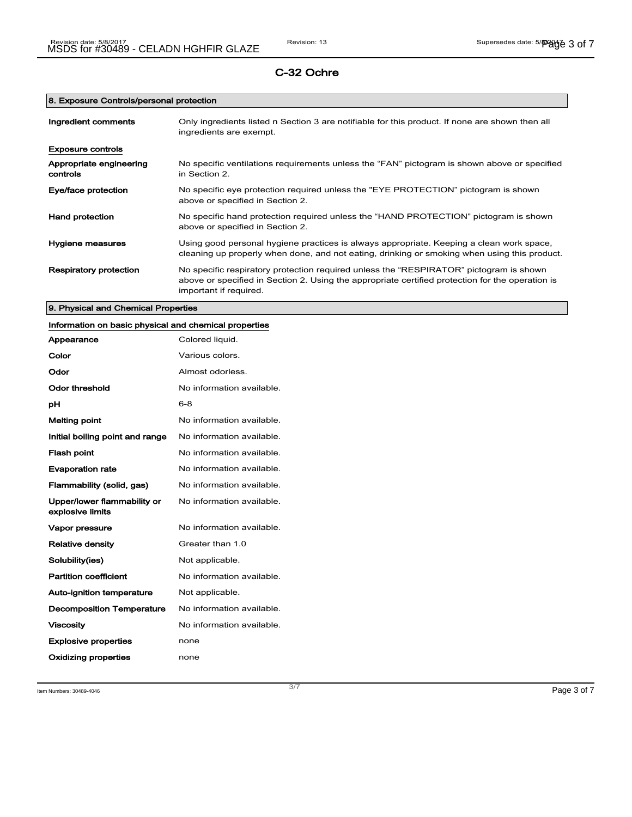## 8. Exposure Controls/personal protection

| Ingredient comments                 | Only ingredients listed n Section 3 are notifiable for this product. If none are shown then all<br>ingredients are exempt.                                                                                           |
|-------------------------------------|----------------------------------------------------------------------------------------------------------------------------------------------------------------------------------------------------------------------|
| <b>Exposure controls</b>            |                                                                                                                                                                                                                      |
| Appropriate engineering<br>controls | No specific ventilations requirements unless the "FAN" pictogram is shown above or specified<br>in Section 2.                                                                                                        |
| Eye/face protection                 | No specific eye protection required unless the "EYE PROTECTION" pictogram is shown<br>above or specified in Section 2.                                                                                               |
| Hand protection                     | No specific hand protection required unless the "HAND PROTECTION" pictogram is shown<br>above or specified in Section 2.                                                                                             |
| Hygiene measures                    | Using good personal hygiene practices is always appropriate. Keeping a clean work space,<br>cleaning up properly when done, and not eating, drinking or smoking when using this product.                             |
| <b>Respiratory protection</b>       | No specific respiratory protection required unless the "RESPIRATOR" pictogram is shown<br>above or specified in Section 2. Using the appropriate certified protection for the operation is<br>important if required. |

## 9. Physical and Chemical Properties

| Information on basic physical and chemical properties |                           |
|-------------------------------------------------------|---------------------------|
| Appearance                                            | Colored liquid.           |
| Color                                                 | Various colors.           |
| Odor                                                  | Almost odorless.          |
| <b>Odor threshold</b>                                 | No information available. |
| pH                                                    | $6 - 8$                   |
| <b>Melting point</b>                                  | No information available. |
| Initial boiling point and range                       | No information available. |
| <b>Flash point</b>                                    | No information available. |
| <b>Evaporation rate</b>                               | No information available. |
| Flammability (solid, gas)                             | No information available. |
| Upper/lower flammability or<br>explosive limits       | No information available. |
| Vapor pressure                                        | No information available. |
| <b>Relative density</b>                               | Greater than 1.0          |
| Solubility(ies)                                       | Not applicable.           |
| <b>Partition coefficient</b>                          | No information available. |
| Auto-ignition temperature                             | Not applicable.           |
| <b>Decomposition Temperature</b>                      | No information available. |
| <b>Viscosity</b>                                      | No information available. |
| <b>Explosive properties</b>                           | none                      |
| Oxidizing properties                                  | none                      |

Item Numbers: 30489-4046 **Page 3 of 7**  $\frac{3}{7}$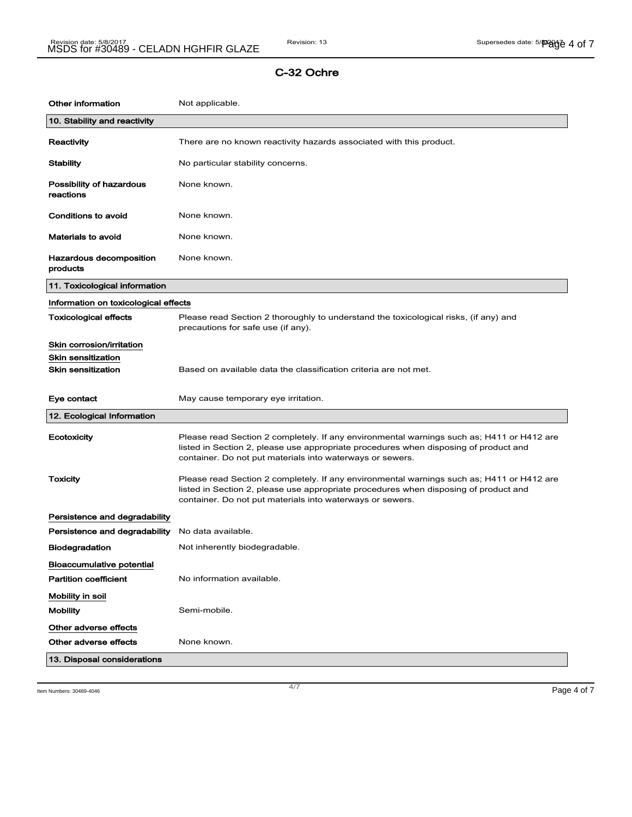| <b>Other information</b>              | Not applicable.                                                                                                                                                                                                                                |
|---------------------------------------|------------------------------------------------------------------------------------------------------------------------------------------------------------------------------------------------------------------------------------------------|
| 10. Stability and reactivity          |                                                                                                                                                                                                                                                |
| Reactivity                            | There are no known reactivity hazards associated with this product.                                                                                                                                                                            |
| <b>Stability</b>                      | No particular stability concerns.                                                                                                                                                                                                              |
| Possibility of hazardous<br>reactions | None known.                                                                                                                                                                                                                                    |
| Conditions to avoid                   | None known.                                                                                                                                                                                                                                    |
| <b>Materials to avoid</b>             | None known.                                                                                                                                                                                                                                    |
| Hazardous decomposition<br>products   | None known.                                                                                                                                                                                                                                    |
| 11. Toxicological information         |                                                                                                                                                                                                                                                |
| Information on toxicological effects  |                                                                                                                                                                                                                                                |
| <b>Toxicological effects</b>          | Please read Section 2 thoroughly to understand the toxicological risks, (if any) and<br>precautions for safe use (if any).                                                                                                                     |
| Skin corrosion/irritation             |                                                                                                                                                                                                                                                |
| <b>Skin sensitization</b>             |                                                                                                                                                                                                                                                |
| <b>Skin sensitization</b>             | Based on available data the classification criteria are not met.                                                                                                                                                                               |
| Eye contact                           | May cause temporary eye irritation.                                                                                                                                                                                                            |
| 12. Ecological Information            |                                                                                                                                                                                                                                                |
| Ecotoxicity                           | Please read Section 2 completely. If any environmental warnings such as; H411 or H412 are<br>listed in Section 2, please use appropriate procedures when disposing of product and<br>container. Do not put materials into waterways or sewers. |
| <b>Toxicity</b>                       | Please read Section 2 completely. If any environmental warnings such as; H411 or H412 are<br>listed in Section 2, please use appropriate procedures when disposing of product and<br>container. Do not put materials into waterways or sewers. |
| Persistence and degradability         |                                                                                                                                                                                                                                                |
| Persistence and degradability         | No data available.                                                                                                                                                                                                                             |
| <b>Biodegradation</b>                 | Not inherently biodegradable.                                                                                                                                                                                                                  |
| <b>Bioaccumulative potential</b>      |                                                                                                                                                                                                                                                |
| <b>Partition coefficient</b>          | No information available.                                                                                                                                                                                                                      |
| Mobility in soil                      |                                                                                                                                                                                                                                                |
| <b>Mobility</b>                       | Semi-mobile.                                                                                                                                                                                                                                   |
| Other adverse effects                 |                                                                                                                                                                                                                                                |
| Other adverse effects                 | None known.                                                                                                                                                                                                                                    |
|                                       |                                                                                                                                                                                                                                                |

Item Numbers: 30489-4046 **Page 4 of 7**  $\frac{4}{7}$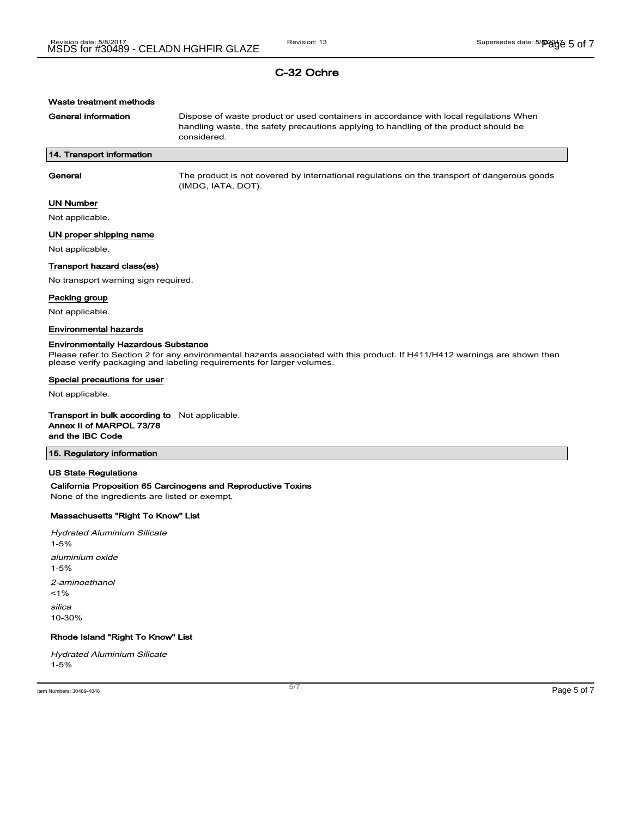| Waste treatment methods                                                                               |                                                                                                                                                                                                     |
|-------------------------------------------------------------------------------------------------------|-----------------------------------------------------------------------------------------------------------------------------------------------------------------------------------------------------|
| <b>General information</b>                                                                            | Dispose of waste product or used containers in accordance with local regulations When<br>handling waste, the safety precautions applying to handling of the product should be<br>considered.        |
| 14. Transport information                                                                             |                                                                                                                                                                                                     |
| General                                                                                               | The product is not covered by international regulations on the transport of dangerous goods<br>(IMDG, IATA, DOT).                                                                                   |
| <b>UN Number</b>                                                                                      |                                                                                                                                                                                                     |
| Not applicable.                                                                                       |                                                                                                                                                                                                     |
| UN proper shipping name                                                                               |                                                                                                                                                                                                     |
| Not applicable.                                                                                       |                                                                                                                                                                                                     |
| Transport hazard class(es)                                                                            |                                                                                                                                                                                                     |
| No transport warning sign required.                                                                   |                                                                                                                                                                                                     |
| Packing group                                                                                         |                                                                                                                                                                                                     |
| Not applicable.                                                                                       |                                                                                                                                                                                                     |
| <b>Environmental hazards</b>                                                                          |                                                                                                                                                                                                     |
| Special precautions for user                                                                          | Please refer to Section 2 for any environmental hazards associated with this product. If H411/H412 warnings are shown then<br>please verify packaging and labeling requirements for larger volumes. |
| Not applicable.                                                                                       |                                                                                                                                                                                                     |
| <b>Transport in bulk according to</b> Not applicable.<br>Annex II of MARPOL 73/78<br>and the IBC Code |                                                                                                                                                                                                     |
| 15. Regulatory information                                                                            |                                                                                                                                                                                                     |
| <b>US State Regulations</b><br>None of the ingredients are listed or exempt.                          | California Proposition 65 Carcinogens and Reproductive Toxins                                                                                                                                       |
| Massachusetts "Right To Know" List                                                                    |                                                                                                                                                                                                     |
| <b>Hydrated Aluminium Silicate</b><br>$1 - 5%$                                                        |                                                                                                                                                                                                     |
| aluminium oxide<br>$1 - 5%$                                                                           |                                                                                                                                                                                                     |
| 2-aminoethanol<br>1%                                                                                  |                                                                                                                                                                                                     |
| silica<br>10-30%                                                                                      |                                                                                                                                                                                                     |
| Rhode Island "Right To Know" List                                                                     |                                                                                                                                                                                                     |
| <b>Hydrated Aluminium Silicate</b><br>$1 - 5%$                                                        |                                                                                                                                                                                                     |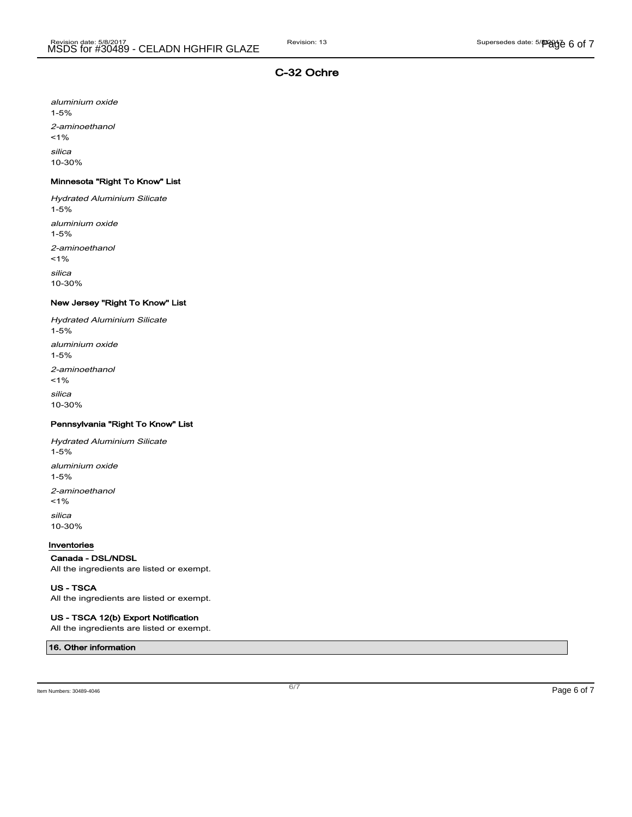aluminium oxide 1-5% 2-aminoethanol  $1%$ silica

10-30%

## Minnesota "Right To Know" List

Hydrated Aluminium Silicate 1-5% aluminium oxide 1-5% 2-aminoethanol  $1%$ silica 10-30%

#### New Jersey "Right To Know" List

Hydrated Aluminium Silicate 1-5% aluminium oxide 1-5% 2-aminoethanol  $1%$ silica 10-30%

#### Pennsylvania "Right To Know" List

Hydrated Aluminium Silicate 1-5% aluminium oxide 1-5% 2-aminoethanol  $1%$ silica 10-30%

#### Inventories

#### Canada - DSL/NDSL

All the ingredients are listed or exempt.

#### US - TSCA

All the ingredients are listed or exempt.

#### US - TSCA 12(b) Export Notification

All the ingredients are listed or exempt.

## 16. Other information